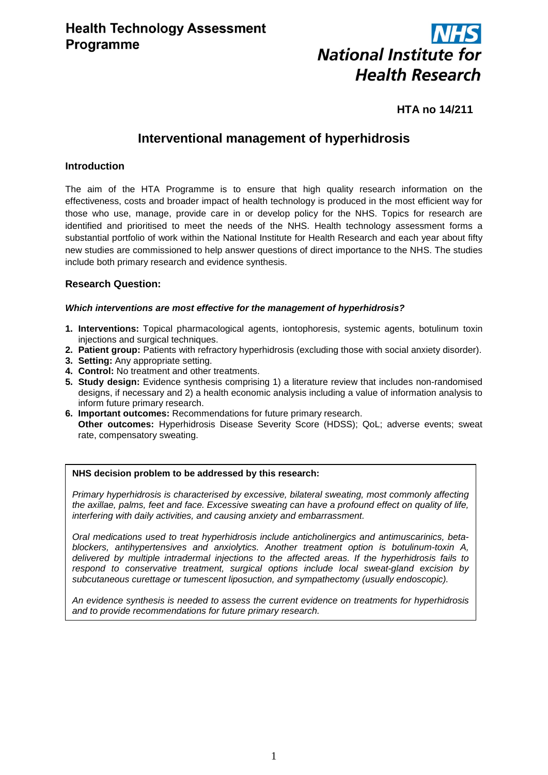

# **HTA no 14/211**

# **Interventional management of hyperhidrosis**

# **Introduction**

The aim of the HTA Programme is to ensure that high quality research information on the effectiveness, costs and broader impact of health technology is produced in the most efficient way for those who use, manage, provide care in or develop policy for the NHS. Topics for research are identified and prioritised to meet the needs of the NHS. Health technology assessment forms a substantial portfolio of work within the National Institute for Health Research and each year about fifty new studies are commissioned to help answer questions of direct importance to the NHS. The studies include both primary research and evidence synthesis.

# **Research Question:**

#### *Which interventions are most effective for the management of hyperhidrosis?*

- **1. Interventions:** Topical pharmacological agents, iontophoresis, systemic agents, botulinum toxin injections and surgical techniques.
- **2. Patient group:** Patients with refractory hyperhidrosis (excluding those with social anxiety disorder).
- **3. Setting:** Any appropriate setting.
- **4. Control:** No treatment and other treatments.
- **5. Study design:** Evidence synthesis comprising 1) a literature review that includes non-randomised designs, if necessary and 2) a health economic analysis including a value of information analysis to inform future primary research.
- **6. Important outcomes:** Recommendations for future primary research. **Other outcomes:** Hyperhidrosis Disease Severity Score (HDSS); QoL; adverse events; sweat rate, compensatory sweating.

#### **NHS decision problem to be addressed by this research:**

*Primary hyperhidrosis is characterised by excessive, bilateral sweating, most commonly affecting the axillae, palms, feet and face. Excessive sweating can have a profound effect on quality of life, interfering with daily activities, and causing anxiety and embarrassment.*

*Oral medications used to treat hyperhidrosis include anticholinergics and antimuscarinics, betablockers, antihypertensives and anxiolytics. Another treatment option is botulinum-toxin A, delivered by multiple intradermal injections to the affected areas. If the hyperhidrosis fails to respond to conservative treatment, surgical options include local sweat-gland excision by subcutaneous curettage or tumescent liposuction, and sympathectomy (usually endoscopic).*

*An evidence synthesis is needed to assess the current evidence on treatments for hyperhidrosis and to provide recommendations for future primary research.*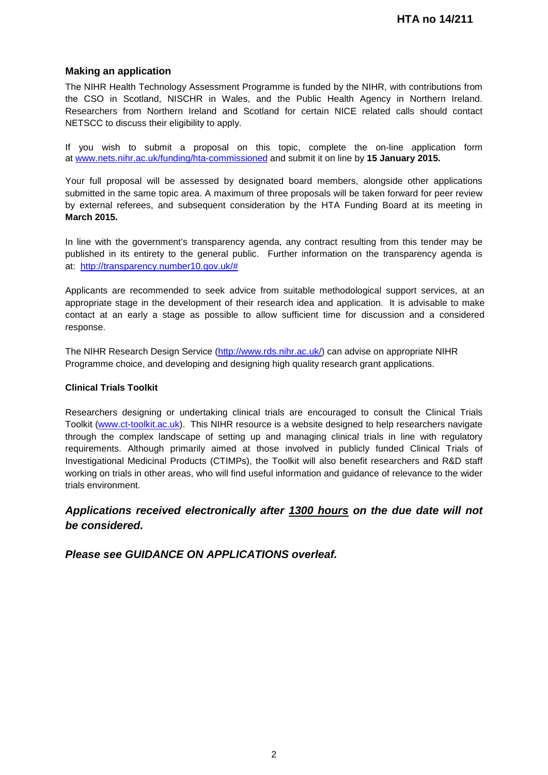# **Making an application**

The NIHR Health Technology Assessment Programme is funded by the NIHR, with contributions from the CSO in Scotland, NISCHR in Wales, and the Public Health Agency in Northern Ireland. Researchers from Northern Ireland and Scotland for certain NICE related calls should contact NETSCC to discuss their eligibility to apply.

If you wish to submit a proposal on this topic, complete the on-line application form at [www.nets.nihr.ac.uk/funding/hta-commissioned](http://www.nets.nihr.ac.uk/funding/hta-commissioned) and submit it on line by **15 January 2015.** 

Your full proposal will be assessed by designated board members, alongside other applications submitted in the same topic area. A maximum of three proposals will be taken forward for peer review by external referees, and subsequent consideration by the HTA Funding Board at its meeting in **March 2015.**

In line with the government's transparency agenda, any contract resulting from this tender may be published in its entirety to the general public. Further information on the transparency agenda is at: [http://transparency.number10.gov.uk/#](http://transparency.number10.gov.uk/)

Applicants are recommended to seek advice from suitable methodological support services, at an appropriate stage in the development of their research idea and application. It is advisable to make contact at an early a stage as possible to allow sufficient time for discussion and a considered response.

The NIHR Research Design Service [\(http://www.rds.nihr.ac.uk/\)](http://www.rds.nihr.ac.uk/) can advise on appropriate NIHR Programme choice, and developing and designing high quality research grant applications.

#### **Clinical Trials Toolkit**

Researchers designing or undertaking clinical trials are encouraged to consult the Clinical Trials Toolkit [\(www.ct-toolkit.ac.uk\)](http://www.ct-toolkit.ac.uk/home). This NIHR resource is a website designed to help researchers navigate through the complex landscape of setting up and managing clinical trials in line with regulatory requirements. Although primarily aimed at those involved in publicly funded Clinical Trials of Investigational Medicinal Products (CTIMPs), the Toolkit will also benefit researchers and R&D staff working on trials in other areas, who will find useful information and guidance of relevance to the wider trials environment.

# *Applications received electronically after 1300 hours on the due date will not be considered.*

*Please see GUIDANCE ON APPLICATIONS overleaf.*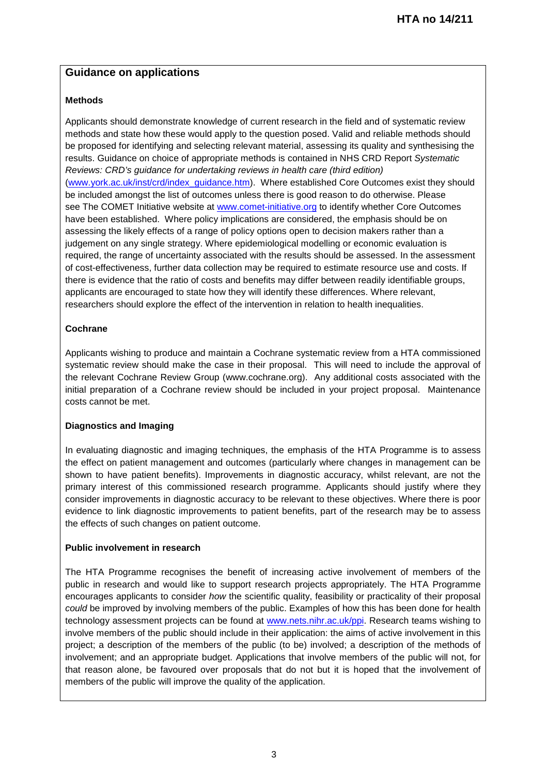# **Guidance on applications**

# **Methods**

Applicants should demonstrate knowledge of current research in the field and of systematic review methods and state how these would apply to the question posed. Valid and reliable methods should be proposed for identifying and selecting relevant material, assessing its quality and synthesising the results. Guidance on choice of appropriate methods is contained in NHS CRD Report *Systematic Reviews: CRD's guidance for undertaking reviews in health care (third edition)* [\(www.york.ac.uk/inst/crd/index\\_guidance.htm\)](http://www.york.ac.uk/inst/crd/index_guidance.htm). Where established Core Outcomes exist they should be included amongst the list of outcomes unless there is good reason to do otherwise. Please see The COMET Initiative website at [www.comet-initiative.org](http://www.comet-initiative.org/) to identify whether Core Outcomes have been established. Where policy implications are considered, the emphasis should be on assessing the likely effects of a range of policy options open to decision makers rather than a judgement on any single strategy. Where epidemiological modelling or economic evaluation is required, the range of uncertainty associated with the results should be assessed. In the assessment of cost-effectiveness, further data collection may be required to estimate resource use and costs. If there is evidence that the ratio of costs and benefits may differ between readily identifiable groups, applicants are encouraged to state how they will identify these differences. Where relevant, researchers should explore the effect of the intervention in relation to health inequalities.

# **Cochrane**

Applicants wishing to produce and maintain a Cochrane systematic review from a HTA commissioned systematic review should make the case in their proposal. This will need to include the approval of the relevant Cochrane Review Group (www.cochrane.org). Any additional costs associated with the initial preparation of a Cochrane review should be included in your project proposal. Maintenance costs cannot be met.

# **Diagnostics and Imaging**

In evaluating diagnostic and imaging techniques, the emphasis of the HTA Programme is to assess the effect on patient management and outcomes (particularly where changes in management can be shown to have patient benefits). Improvements in diagnostic accuracy, whilst relevant, are not the primary interest of this commissioned research programme. Applicants should justify where they consider improvements in diagnostic accuracy to be relevant to these objectives. Where there is poor evidence to link diagnostic improvements to patient benefits, part of the research may be to assess the effects of such changes on patient outcome.

# **Public involvement in research**

The HTA Programme recognises the benefit of increasing active involvement of members of the public in research and would like to support research projects appropriately. The HTA Programme encourages applicants to consider *how* the scientific quality, feasibility or practicality of their proposal *could* be improved by involving members of the public. Examples of how this has been done for health technology assessment projects can be found at [www.nets.nihr.ac.uk/ppi.](http://www.nets.nihr.ac.uk/ppi) Research teams wishing to involve members of the public should include in their application: the aims of active involvement in this project; a description of the members of the public (to be) involved; a description of the methods of involvement; and an appropriate budget. Applications that involve members of the public will not, for that reason alone, be favoured over proposals that do not but it is hoped that the involvement of members of the public will improve the quality of the application.